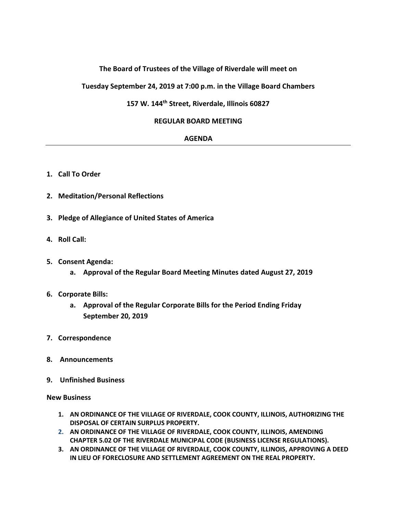# **The Board of Trustees of the Village of Riverdale will meet on**

**Tuesday September 24, 2019 at 7:00 p.m. in the Village Board Chambers**

## **157 W. 144th Street, Riverdale, Illinois 60827**

## **REGULAR BOARD MEETING**

#### **AGENDA**

- **1. Call To Order**
- **2. Meditation/Personal Reflections**
- **3. Pledge of Allegiance of United States of America**
- **4. Roll Call:**
- **5. Consent Agenda:**
	- **a. Approval of the Regular Board Meeting Minutes dated August 27, 2019**

## **6. Corporate Bills:**

- **a. Approval of the Regular Corporate Bills for the Period Ending Friday September 20, 2019**
- **7. Correspondence**
- **8. Announcements**
- **9. Unfinished Business**

#### **New Business**

- **1. AN ORDINANCE OF THE VILLAGE OF RIVERDALE, COOK COUNTY, ILLINOIS, AUTHORIZING THE DISPOSAL OF CERTAIN SURPLUS PROPERTY.**
- **2. AN ORDINANCE OF THE VILLAGE OF RIVERDALE, COOK COUNTY, ILLINOIS, AMENDING CHAPTER 5.02 OF THE RIVERDALE MUNICIPAL CODE (BUSINESS LICENSE REGULATIONS).**
- **3. AN ORDINANCE OF THE VILLAGE OF RIVERDALE, COOK COUNTY, ILLINOIS, APPROVING A DEED IN LIEU OF FORECLOSURE AND SETTLEMENT AGREEMENT ON THE REAL PROPERTY.**